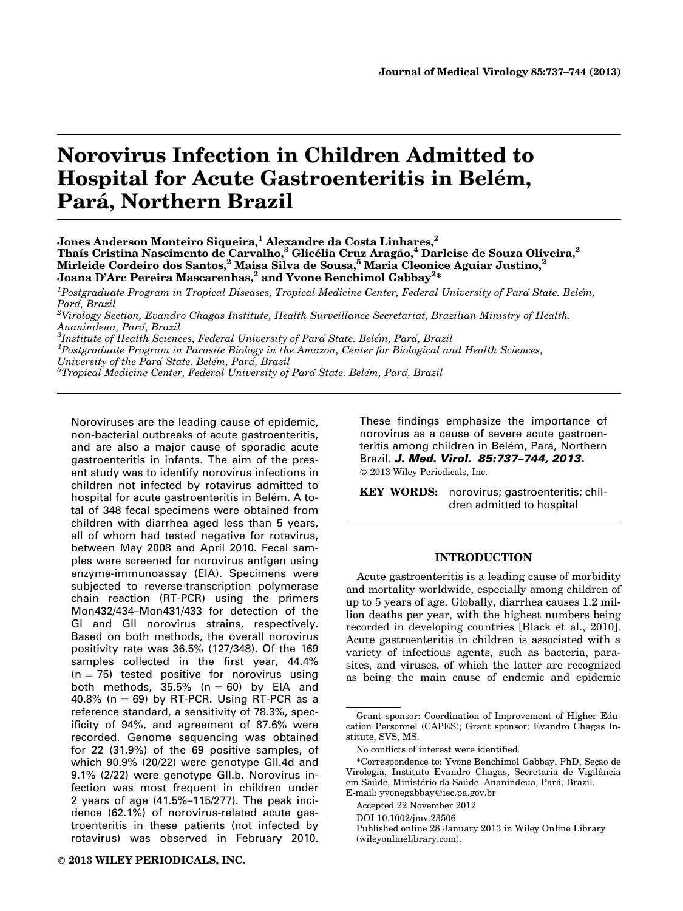# Norovirus Infection in Children Admitted to Hospital for Acute Gastroenteritis in Belém, Pará, Northern Brazil

 $^1$ Postgraduate Program in Tropical Diseases, Tropical Medicine Center, Federal University of Pará State. Belém, Pará, Brazil

 $^{2}$ Virology Section, Evandro Chagas Institute, Health Surveillance Secretariat, Brazilian Ministry of Health. Ananindeua, Pará, Brazil

 ${}^{3}$ Institute of Health Sciences, Federal University of Pará State. Belém, Pará, Brazil

 ${}^{4}$ Postgraduate Program in Parasite Biology in the Amazon, Center for Biological and Health Sciences,

University of the Para´ State. Bele´m, Para´, Brazil

 ${}^5$ Tropical Medicine Center, Federal University of Para´ State. Bele´m, Para´, Brazil

Noroviruses are the leading cause of epidemic, non-bacterial outbreaks of acute gastroenteritis, and are also a major cause of sporadic acute gastroenteritis in infants. The aim of the present study was to identify norovirus infections in children not infected by rotavirus admitted to hospital for acute gastroenteritis in Belém. A total of 348 fecal specimens were obtained from children with diarrhea aged less than 5 years, all of whom had tested negative for rotavirus, between May 2008 and April 2010. Fecal samples were screened for norovirus antigen using enzyme-immunoassay (EIA). Specimens were subjected to reverse-transcription polymerase chain reaction (RT-PCR) using the primers Mon432/434–Mon431/433 for detection of the GI and GII norovirus strains, respectively. Based on both methods, the overall norovirus positivity rate was 36.5% (127/348). Of the 169 samples collected in the first year, 44.4%  $(n = 75)$  tested positive for norovirus using both methods, 35.5% ( $n = 60$ ) by EIA and 40.8% ( $n = 69$ ) by RT-PCR. Using RT-PCR as a reference standard, a sensitivity of 78.3%, specificity of 94%, and agreement of 87.6% were recorded. Genome sequencing was obtained for 22 (31.9%) of the 69 positive samples, of which 90.9% (20/22) were genotype GII.4d and 9.1% (2/22) were genotype GII.b. Norovirus infection was most frequent in children under 2 years of age (41.5%–115/277). The peak incidence (62.1%) of norovirus-related acute gastroenteritis in these patients (not infected by rotavirus) was observed in February 2010.

DOI 10.1002/jmv.23506

Published online 28 January 2013 in Wiley Online Library (wileyonlinelibrary.com).

These findings emphasize the importance of norovirus as a cause of severe acute gastroenteritis among children in Belém, Pará, Northern Brazil. J. Med. Virol. 85:737-744, 2013. 2013 Wiley Periodicals, Inc.

KEY WORDS: norovirus; gastroenteritis; children admitted to hospital

# INTRODUCTION

Acute gastroenteritis is a leading cause of morbidity and mortality worldwide, especially among children of up to 5 years of age. Globally, diarrhea causes 1.2 million deaths per year, with the highest numbers being recorded in developing countries [Black et al., 2010]. Acute gastroenteritis in children is associated with a variety of infectious agents, such as bacteria, parasites, and viruses, of which the latter are recognized as being the main cause of endemic and epidemic

Jones Anderson Monteiro Siqueira,<sup>1</sup> Alexandre da Costa Linhares,<sup>2</sup> Thaís Cristina Nascimento de Carvalho,<sup>3</sup> Glicélia Cruz Aragão,<sup>4</sup> Darleise de Souza Oliveira,<sup>2</sup> Mirleide Cordeiro dos Santos,<sup>2</sup> Maisa Silva de Sousa,<sup>5</sup> Maria Cleonice Aguiar Justino,<sup>2</sup> Joana D'Arc Pereira Mascarenhas, $^2$  and Yvone Benchimol Gabbay $^{2\ast}$ 

Grant sponsor: Coordination of Improvement of Higher Education Personnel (CAPES); Grant sponsor: Evandro Chagas Institute, SVS, MS.

No conflicts of interest were identified.

<sup>\*</sup>Correspondence to: Yvone Benchimol Gabbay, PhD, Seção de Virologia, Instituto Evandro Chagas, Secretaria de Vigilância em Saúde, Ministério da Saúde. Ananindeua, Pará, Brazil. E-mail: yvonegabbay@iec.pa.gov.br

Accepted 22 November 2012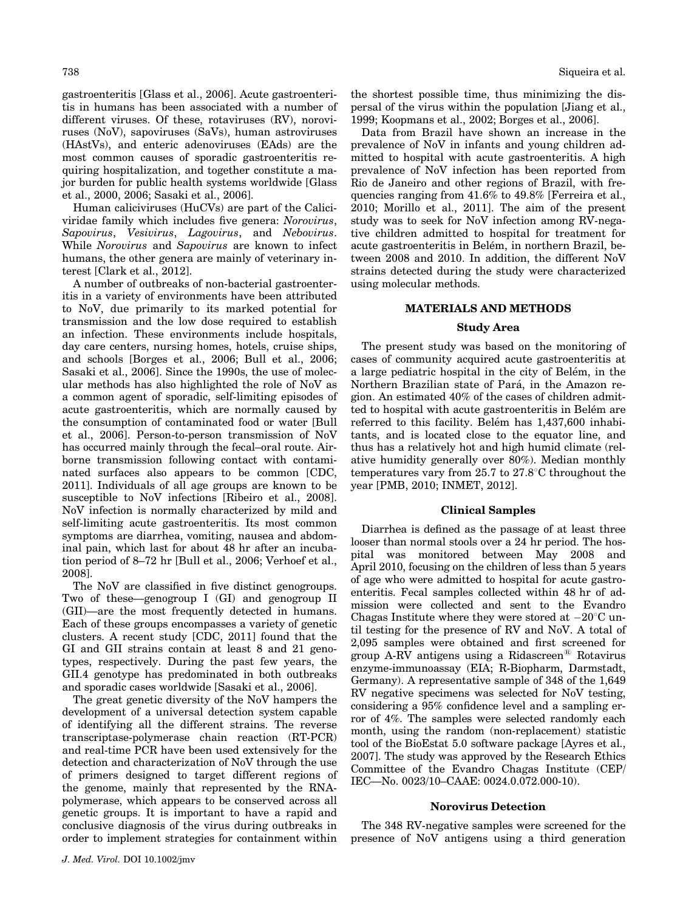gastroenteritis [Glass et al., 2006]. Acute gastroenteritis in humans has been associated with a number of different viruses. Of these, rotaviruses (RV), noroviruses (NoV), sapoviruses (SaVs), human astroviruses (HAstVs), and enteric adenoviruses (EAds) are the most common causes of sporadic gastroenteritis requiring hospitalization, and together constitute a major burden for public health systems worldwide [Glass et al., 2000, 2006; Sasaki et al., 2006].

Human caliciviruses (HuCVs) are part of the Caliciviridae family which includes five genera: Norovirus, Sapovirus, Vesivirus, Lagovirus, and Nebovirus. While Norovirus and Sapovirus are known to infect humans, the other genera are mainly of veterinary interest [Clark et al., 2012].

A number of outbreaks of non-bacterial gastroenteritis in a variety of environments have been attributed to NoV, due primarily to its marked potential for transmission and the low dose required to establish an infection. These environments include hospitals, day care centers, nursing homes, hotels, cruise ships, and schools [Borges et al., 2006; Bull et al., 2006; Sasaki et al., 2006]. Since the 1990s, the use of molecular methods has also highlighted the role of NoV as a common agent of sporadic, self-limiting episodes of acute gastroenteritis, which are normally caused by the consumption of contaminated food or water [Bull et al., 2006]. Person-to-person transmission of NoV has occurred mainly through the fecal–oral route. Airborne transmission following contact with contaminated surfaces also appears to be common [CDC, 2011]. Individuals of all age groups are known to be susceptible to NoV infections [Ribeiro et al., 2008]. NoV infection is normally characterized by mild and self-limiting acute gastroenteritis. Its most common symptoms are diarrhea, vomiting, nausea and abdominal pain, which last for about 48 hr after an incubation period of 8–72 hr [Bull et al., 2006; Verhoef et al., 2008].

The NoV are classified in five distinct genogroups. Two of these—genogroup I (GI) and genogroup II (GII)—are the most frequently detected in humans. Each of these groups encompasses a variety of genetic clusters. A recent study [CDC, 2011] found that the GI and GII strains contain at least 8 and 21 genotypes, respectively. During the past few years, the GII.4 genotype has predominated in both outbreaks and sporadic cases worldwide [Sasaki et al., 2006].

The great genetic diversity of the NoV hampers the development of a universal detection system capable of identifying all the different strains. The reverse transcriptase-polymerase chain reaction (RT-PCR) and real-time PCR have been used extensively for the detection and characterization of NoV through the use of primers designed to target different regions of the genome, mainly that represented by the RNApolymerase, which appears to be conserved across all genetic groups. It is important to have a rapid and conclusive diagnosis of the virus during outbreaks in order to implement strategies for containment within the shortest possible time, thus minimizing the dispersal of the virus within the population [Jiang et al., 1999; Koopmans et al., 2002; Borges et al., 2006].

Data from Brazil have shown an increase in the prevalence of NoV in infants and young children admitted to hospital with acute gastroenteritis. A high prevalence of NoV infection has been reported from Rio de Janeiro and other regions of Brazil, with frequencies ranging from 41.6% to 49.8% [Ferreira et al., 2010; Morillo et al., 2011]. The aim of the present study was to seek for NoV infection among RV-negative children admitted to hospital for treatment for acute gastroenteritis in Belém, in northern Brazil, between 2008 and 2010. In addition, the different NoV strains detected during the study were characterized using molecular methods.

## MATERIALS AND METHODS

# Study Area

The present study was based on the monitoring of cases of community acquired acute gastroenteritis at a large pediatric hospital in the city of Belém, in the Northern Brazilian state of Pará, in the Amazon region. An estimated 40% of the cases of children admitted to hospital with acute gastroenteritis in Belém are referred to this facility. Belém has  $1,437,600$  inhabitants, and is located close to the equator line, and thus has a relatively hot and high humid climate (relative humidity generally over 80%). Median monthly temperatures vary from  $25.7$  to  $27.8^{\circ}$ C throughout the year [PMB, 2010; INMET, 2012].

#### Clinical Samples

Diarrhea is defined as the passage of at least three looser than normal stools over a 24 hr period. The hospital was monitored between May 2008 and April 2010, focusing on the children of less than 5 years of age who were admitted to hospital for acute gastroenteritis. Fecal samples collected within 48 hr of admission were collected and sent to the Evandro Chagas Institute where they were stored at  $-20^{\circ}$ C until testing for the presence of RV and NoV. A total of 2,095 samples were obtained and first screened for group A-RV antigens using a Ridascreen<sup>®</sup> Rotavirus enzyme-immunoassay (EIA; R-Biopharm, Darmstadt, Germany). A representative sample of 348 of the 1,649 RV negative specimens was selected for NoV testing, considering a 95% confidence level and a sampling error of 4%. The samples were selected randomly each month, using the random (non-replacement) statistic tool of the BioEstat 5.0 software package [Ayres et al., 2007]. The study was approved by the Research Ethics Committee of the Evandro Chagas Institute (CEP/ IEC—No. 0023/10–CAAE: 0024.0.072.000-10).

#### Norovirus Detection

The 348 RV-negative samples were screened for the presence of NoV antigens using a third generation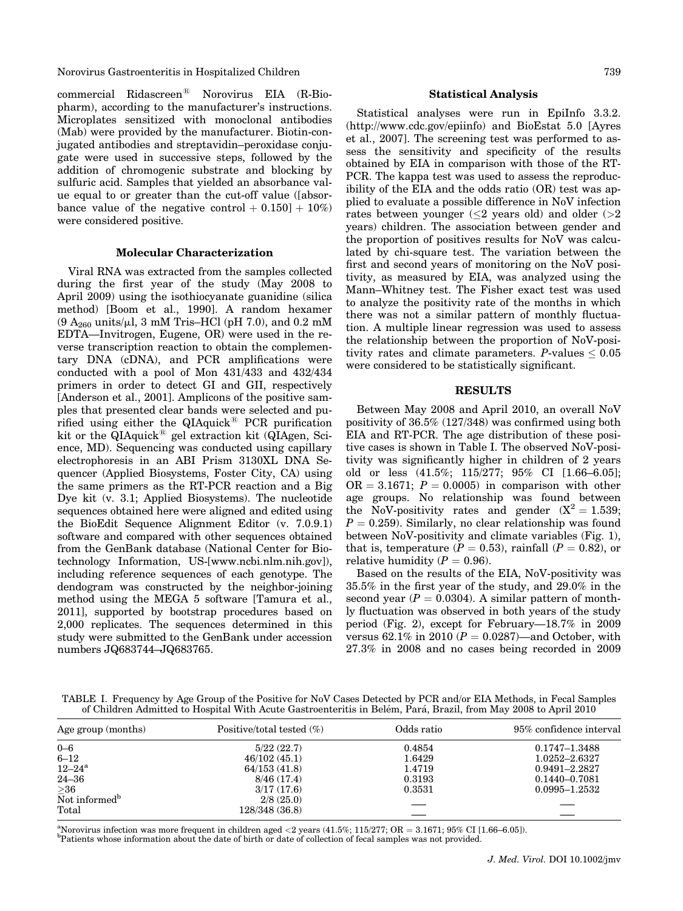Norovirus Gastroenteritis in Hospitalized Children 739

commercial Ridascreen<sup>®</sup> Norovirus EIA (R-Biopharm), according to the manufacturer's instructions. Microplates sensitized with monoclonal antibodies (Mab) were provided by the manufacturer. Biotin-conjugated antibodies and streptavidin–peroxidase conjugate were used in successive steps, followed by the addition of chromogenic substrate and blocking by sulfuric acid. Samples that yielded an absorbance value equal to or greater than the cut-off value ([absorbance value of the negative control  $+ 0.150] + 10\%)$ were considered positive.

#### Molecular Characterization

Viral RNA was extracted from the samples collected during the first year of the study (May 2008 to April 2009) using the isothiocyanate guanidine (silica method) [Boom et al., 1990]. A random hexamer  $(9 A_{260}$  units/ $\mu$ l, 3 mM Tris–HCl (pH 7.0), and 0.2 mM EDTA—Invitrogen, Eugene, OR) were used in the reverse transcription reaction to obtain the complementary DNA (cDNA), and PCR amplifications were conducted with a pool of Mon 431/433 and 432/434 primers in order to detect GI and GII, respectively [Anderson et al., 2001]. Amplicons of the positive samples that presented clear bands were selected and purified using either the  $QIAquick^{\circledR}$  PCR purification kit or the  $\widehat{Q}$ IAquick<sup>®</sup> gel extraction kit ( $\widehat{Q}$ IAgen, Science, MD). Sequencing was conducted using capillary electrophoresis in an ABI Prism 3130XL DNA Sequencer (Applied Biosystems, Foster City, CA) using the same primers as the RT-PCR reaction and a Big Dye kit (v. 3.1; Applied Biosystems). The nucleotide sequences obtained here were aligned and edited using the BioEdit Sequence Alignment Editor (v. 7.0.9.1) software and compared with other sequences obtained from the GenBank database (National Center for Biotechnology Information, US-[www.ncbi.nlm.nih.gov]), including reference sequences of each genotype. The dendogram was constructed by the neighbor-joining method using the MEGA 5 software [Tamura et al., 2011], supported by bootstrap procedures based on 2,000 replicates. The sequences determined in this study were submitted to the GenBank under accession numbers JQ683744–JQ683765.

# Statistical Analysis

Statistical analyses were run in EpiInfo 3.3.2. (http://www.cdc.gov/epiinfo) and BioEstat 5.0 [Ayres et al., 2007]. The screening test was performed to assess the sensitivity and specificity of the results obtained by EIA in comparison with those of the RT-PCR. The kappa test was used to assess the reproducibility of the EIA and the odds ratio (OR) test was applied to evaluate a possible difference in NoV infection rates between younger  $(\leq 2$  years old) and older  $(>2)$ years) children. The association between gender and the proportion of positives results for NoV was calculated by chi-square test. The variation between the first and second years of monitoring on the NoV positivity, as measured by EIA, was analyzed using the Mann–Whitney test. The Fisher exact test was used to analyze the positivity rate of the months in which there was not a similar pattern of monthly fluctuation. A multiple linear regression was used to assess the relationship between the proportion of NoV-positivity rates and climate parameters.  $P$ -values  $\leq 0.05$ were considered to be statistically significant.

#### RESULTS

Between May 2008 and April 2010, an overall NoV positivity of 36.5% (127/348) was confirmed using both EIA and RT-PCR. The age distribution of these positive cases is shown in Table I. The observed NoV-positivity was significantly higher in children of 2 years old or less (41.5%; 115/277; 95% CI [1.66–6.05];  $OR = 3.1671$ ;  $P = 0.0005$ ) in comparison with other age groups. No relationship was found between the NoV-positivity rates and gender  $(X^2 = 1.539)$ ;  $P = 0.259$ . Similarly, no clear relationship was found between NoV-positivity and climate variables (Fig. 1), that is, temperature  $(P = 0.53)$ , rainfall  $(P = 0.82)$ , or relative humidity ( $P = 0.96$ ).

Based on the results of the EIA, NoV-positivity was 35.5% in the first year of the study, and 29.0% in the second year ( $P = 0.0304$ ). A similar pattern of monthly fluctuation was observed in both years of the study period (Fig. 2), except for February—18.7% in 2009 versus 62.1% in 2010 ( $P = 0.0287$ )—and October, with 27.3% in 2008 and no cases being recorded in 2009

TABLE I. Frequency by Age Group of the Positive for NoV Cases Detected by PCR and/or EIA Methods, in Fecal Samples of Children Admitted to Hospital With Acute Gastroenteritis in Bele´m, Para´, Brazil, from May 2008 to April 2010

| Age group (months)        | Positive/total tested $(\%)$ | Odds ratio | 95% confidence interval |
|---------------------------|------------------------------|------------|-------------------------|
| $0 - 6$                   | 5/22(22.7)                   | 0.4854     | 0.1747-1.3488           |
| $6 - 12$                  | 46/102(45.1)                 | 1.6429     | 1.0252-2.6327           |
| $12 - 24^{\rm a}$         | 64/153(41.8)                 | 1.4719     | $0.9491 - 2.2827$       |
| $24 - 36$                 | 8/46(17.4)                   | 0.3193     | $0.1440 - 0.7081$       |
| $\geq$ 36                 | 3/17(17.6)                   | 0.3531     | $0.0995 - 1.2532$       |
| Not informed <sup>b</sup> | 2/8(25.0)                    |            |                         |
| Total                     | 128/348(36.8)                |            |                         |
|                           |                              |            |                         |

<sup>a</sup>Norovirus infection was more frequent in children aged <2 years (41.5%; 115/277; OR = 3.1671; 95% CI [1.66–6.05]).

<sup>b</sup>Patients whose information about the date of birth or date of collection of fecal samples was not provided.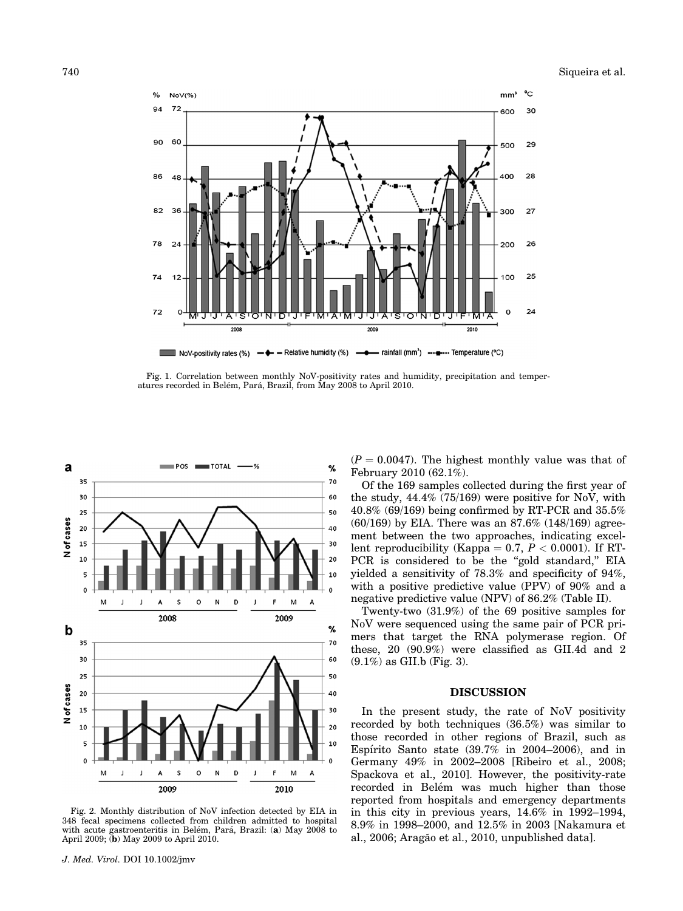

Fig. 1. Correlation between monthly NoV-positivity rates and humidity, precipitation and temperatures recorded in Belém, Pará, Brazil, from May 2008 to April 2010.



Fig. 2. Monthly distribution of NoV infection detected by EIA in 348 fecal specimens collected from children admitted to hospital with acute gastroenteritis in Belém, Pará, Brazil: (a) May 2008 to April 2009; (b) May 2009 to April 2010.

 $(P = 0.0047)$ . The highest monthly value was that of February 2010 (62.1%).

Of the 169 samples collected during the first year of the study, 44.4% (75/169) were positive for NoV, with 40.8% (69/169) being confirmed by RT-PCR and 35.5% (60/169) by EIA. There was an 87.6% (148/169) agreement between the two approaches, indicating excellent reproducibility (Kappa = 0.7,  $P < 0.0001$ ). If RT-PCR is considered to be the "gold standard," EIA yielded a sensitivity of 78.3% and specificity of 94%, with a positive predictive value (PPV) of 90% and a negative predictive value (NPV) of 86.2% (Table II).

Twenty-two (31.9%) of the 69 positive samples for NoV were sequenced using the same pair of PCR primers that target the RNA polymerase region. Of these, 20 (90.9%) were classified as GII.4d and 2  $(9.1\%)$  as GII.b (Fig. 3).

#### DISCUSSION

In the present study, the rate of NoV positivity recorded by both techniques (36.5%) was similar to those recorded in other regions of Brazil, such as Espírito Santo state  $(39.7\%$  in 2004–2006), and in Germany 49% in 2002–2008 [Ribeiro et al., 2008; Spackova et al., 2010]. However, the positivity-rate recorded in Belém was much higher than those reported from hospitals and emergency departments in this city in previous years, 14.6% in 1992–1994, 8.9% in 1998–2000, and 12.5% in 2003 [Nakamura et al., 2006; Aragão et al., 2010, unpublished datal.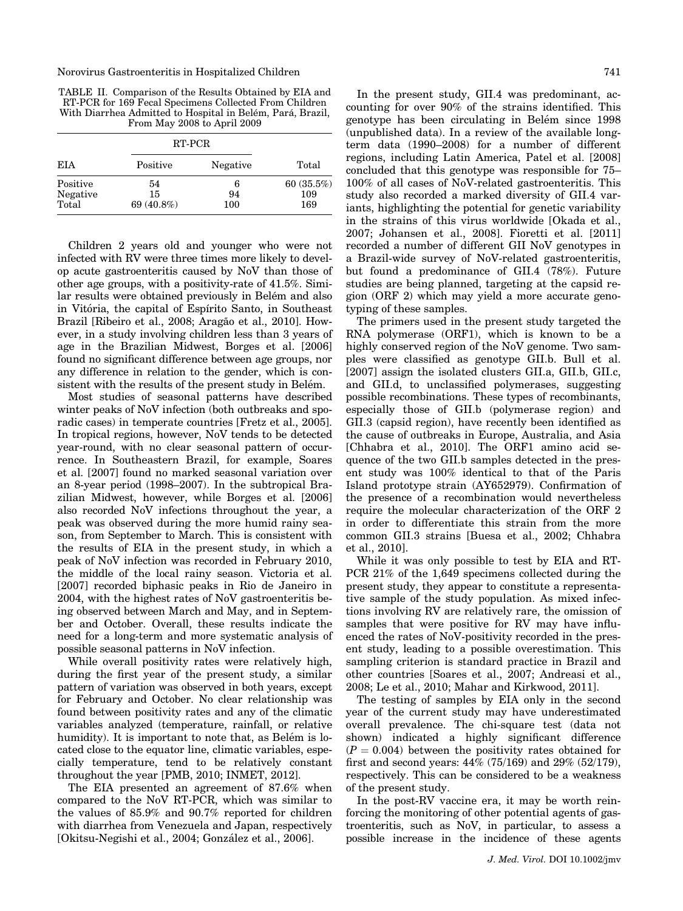TABLE II. Comparison of the Results Obtained by EIA and RT-PCR for 169 Fecal Specimens Collected From Children With Diarrhea Admitted to Hospital in Belém, Pará, Brazil, From May 2008 to April 2009

|                               | RT-PCR                 |                |                         |
|-------------------------------|------------------------|----------------|-------------------------|
| EIA                           | Positive               | Negative       | Total                   |
| Positive<br>Negative<br>Total | 54<br>15<br>69 (40.8%) | 6<br>94<br>100 | 60(35.5%)<br>109<br>169 |

Children 2 years old and younger who were not infected with RV were three times more likely to develop acute gastroenteritis caused by NoV than those of other age groups, with a positivity-rate of 41.5%. Similar results were obtained previously in Belém and also in Vitória, the capital of Espírito Santo, in Southeast Brazil [Ribeiro et al., 2008; Aragão et al., 2010]. However, in a study involving children less than 3 years of age in the Brazilian Midwest, Borges et al. [2006] found no significant difference between age groups, nor any difference in relation to the gender, which is consistent with the results of the present study in Belém.

Most studies of seasonal patterns have described winter peaks of NoV infection (both outbreaks and sporadic cases) in temperate countries [Fretz et al., 2005]. In tropical regions, however, NoV tends to be detected year-round, with no clear seasonal pattern of occurrence. In Southeastern Brazil, for example, Soares et al. [2007] found no marked seasonal variation over an 8-year period (1998–2007). In the subtropical Brazilian Midwest, however, while Borges et al. [2006] also recorded NoV infections throughout the year, a peak was observed during the more humid rainy season, from September to March. This is consistent with the results of EIA in the present study, in which a peak of NoV infection was recorded in February 2010, the middle of the local rainy season. Victoria et al. [2007] recorded biphasic peaks in Rio de Janeiro in 2004, with the highest rates of NoV gastroenteritis being observed between March and May, and in September and October. Overall, these results indicate the need for a long-term and more systematic analysis of possible seasonal patterns in NoV infection.

While overall positivity rates were relatively high, during the first year of the present study, a similar pattern of variation was observed in both years, except for February and October. No clear relationship was found between positivity rates and any of the climatic variables analyzed (temperature, rainfall, or relative humidity). It is important to note that, as Belém is located close to the equator line, climatic variables, especially temperature, tend to be relatively constant throughout the year [PMB, 2010; INMET, 2012].

The EIA presented an agreement of 87.6% when compared to the NoV RT-PCR, which was similar to the values of 85.9% and 90.7% reported for children with diarrhea from Venezuela and Japan, respectively [Okitsu-Negishi et al., 2004; González et al., 2006].

In the present study, GII.4 was predominant, accounting for over 90% of the strains identified. This genotype has been circulating in Belém since 1998 (unpublished data). In a review of the available longterm data (1990–2008) for a number of different regions, including Latin America, Patel et al. [2008] concluded that this genotype was responsible for 75– 100% of all cases of NoV-related gastroenteritis. This study also recorded a marked diversity of GII.4 variants, highlighting the potential for genetic variability in the strains of this virus worldwide [Okada et al., 2007; Johansen et al., 2008]. Fioretti et al. [2011] recorded a number of different GII NoV genotypes in a Brazil-wide survey of NoV-related gastroenteritis, but found a predominance of GII.4 (78%). Future studies are being planned, targeting at the capsid region (ORF 2) which may yield a more accurate genotyping of these samples.

The primers used in the present study targeted the RNA polymerase (ORF1), which is known to be a highly conserved region of the NoV genome. Two samples were classified as genotype GII.b. Bull et al. [2007] assign the isolated clusters GII.a, GII.b, GII.c, and GII.d, to unclassified polymerases, suggesting possible recombinations. These types of recombinants, especially those of GII.b (polymerase region) and GII.3 (capsid region), have recently been identified as the cause of outbreaks in Europe, Australia, and Asia [Chhabra et al., 2010]. The ORF1 amino acid sequence of the two GII.b samples detected in the present study was 100% identical to that of the Paris Island prototype strain (AY652979). Confirmation of the presence of a recombination would nevertheless require the molecular characterization of the ORF 2 in order to differentiate this strain from the more common GII.3 strains [Buesa et al., 2002; Chhabra et al., 2010].

While it was only possible to test by EIA and RT-PCR 21% of the 1,649 specimens collected during the present study, they appear to constitute a representative sample of the study population. As mixed infections involving RV are relatively rare, the omission of samples that were positive for RV may have influenced the rates of NoV-positivity recorded in the present study, leading to a possible overestimation. This sampling criterion is standard practice in Brazil and other countries [Soares et al., 2007; Andreasi et al., 2008; Le et al., 2010; Mahar and Kirkwood, 2011].

The testing of samples by EIA only in the second year of the current study may have underestimated overall prevalence. The chi-square test (data not shown) indicated a highly significant difference  $(P = 0.004)$  between the positivity rates obtained for first and second years: 44% (75/169) and 29% (52/179), respectively. This can be considered to be a weakness of the present study.

In the post-RV vaccine era, it may be worth reinforcing the monitoring of other potential agents of gastroenteritis, such as NoV, in particular, to assess a possible increase in the incidence of these agents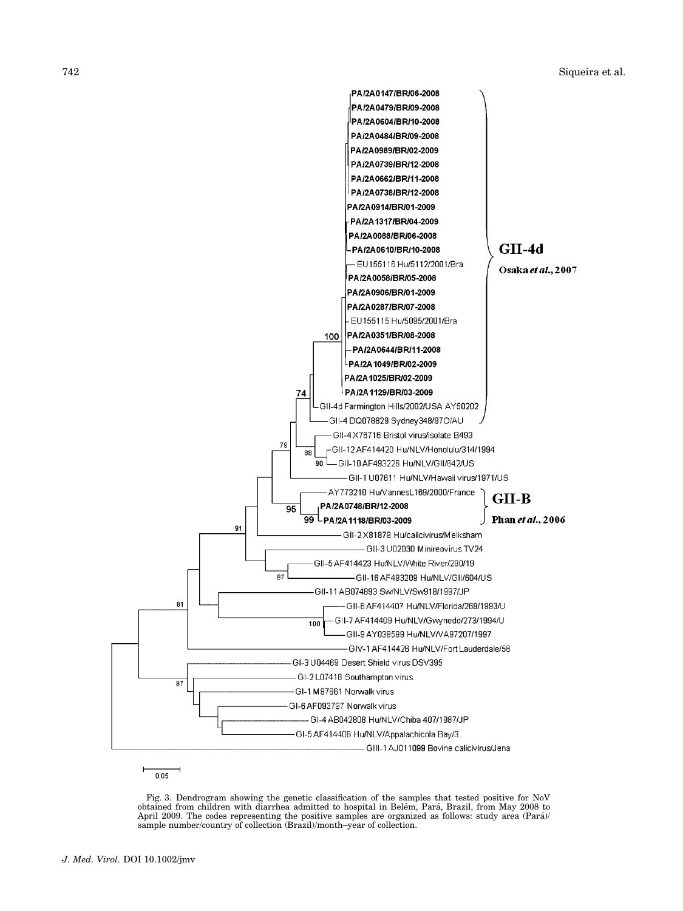

Fig. 3. Dendrogram showing the genetic classification of the samples that tested positive for NoV<br>obtained from children with diarrhea admitted to hospital in Belém, Pará, Brazil, from May 2008 to April 2009. The codes representing the positive samples are organized as follows: study area (Pará)/ sample number/country of collection (Brazil)/month–year of collection.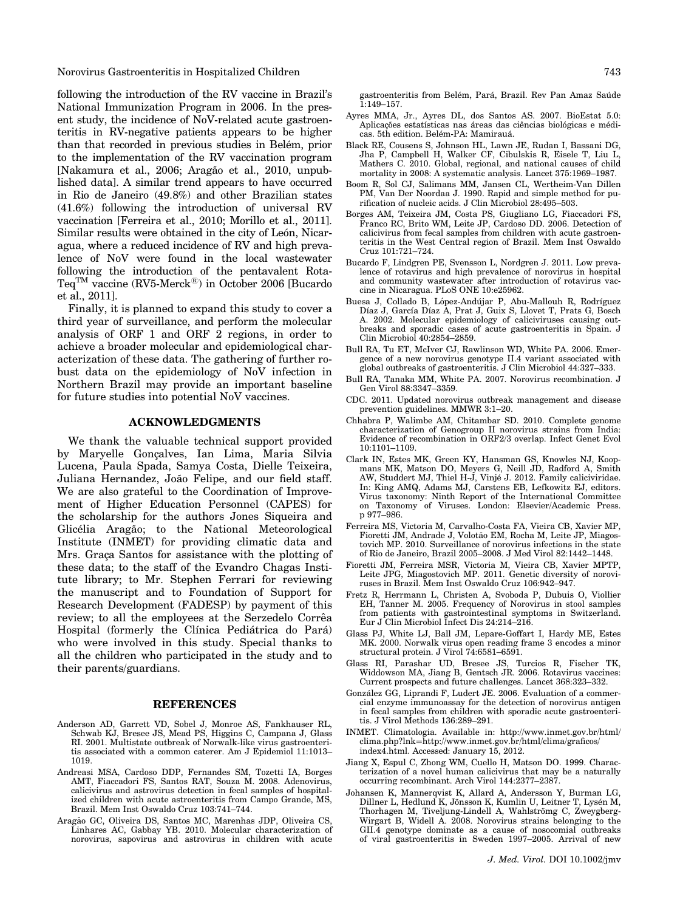Norovirus Gastroenteritis in Hospitalized Children 743

following the introduction of the RV vaccine in Brazil's National Immunization Program in 2006. In the present study, the incidence of NoV-related acute gastroenteritis in RV-negative patients appears to be higher than that recorded in previous studies in Belém, prior to the implementation of the RV vaccination program [Nakamura et al., 2006; Aragão et al., 2010, unpublished data]. A similar trend appears to have occurred in Rio de Janeiro (49.8%) and other Brazilian states (41.6%) following the introduction of universal RV vaccination [Ferreira et al., 2010; Morillo et al., 2011]. Similar results were obtained in the city of León, Nicaragua, where a reduced incidence of RV and high prevalence of NoV were found in the local wastewater following the introduction of the pentavalent Rota-Teq<sup>TM</sup> vaccine  $(RV5-Merck^{\circledR})$  in October 2006 [Bucardo et al., 2011].

Finally, it is planned to expand this study to cover a third year of surveillance, and perform the molecular analysis of ORF 1 and ORF 2 regions, in order to achieve a broader molecular and epidemiological characterization of these data. The gathering of further robust data on the epidemiology of NoV infection in Northern Brazil may provide an important baseline for future studies into potential NoV vaccines.

#### ACKNOWLEDGMENTS

We thank the valuable technical support provided by Maryelle Gonçalves, Ian Lima, Maria Silvia Lucena, Paula Spada, Samya Costa, Dielle Teixeira, Juliana Hernandez, João Felipe, and our field staff. We are also grateful to the Coordination of Improvement of Higher Education Personnel (CAPES) for the scholarship for the authors Jones Siqueira and Glicélia Aragão; to the National Meteorological Institute (INMET) for providing climatic data and Mrs. Graça Santos for assistance with the plotting of these data; to the staff of the Evandro Chagas Institute library; to Mr. Stephen Ferrari for reviewing the manuscript and to Foundation of Support for Research Development (FADESP) by payment of this review; to all the employees at the Serzedelo Corrêa Hospital (formerly the Clínica Pediátrica do Pará) who were involved in this study. Special thanks to all the children who participated in the study and to their parents/guardians.

#### REFERENCES

- Anderson AD, Garrett VD, Sobel J, Monroe AS, Fankhauser RL, Schwab KJ, Bresee JS, Mead PS, Higgins C, Campana J, Glass RI. 2001. Multistate outbreak of Norwalk-like virus gastroenteritis associated with a common caterer. Am J Epidemiol 11:1013– 1019.
- Andreasi MSA, Cardoso DDP, Fernandes SM, Tozetti IA, Borges AMT, Fiaccadori FS, Santos RAT, Souza M. 2008. Adenovirus, calicivirus and astrovirus detection in fecal samples of hospitalized children with acute astroenteritis from Campo Grande, MS, Brazil. Mem Inst Oswaldo Cruz 103:741–744.
- Aragão GC, Oliveira DS, Santos MC, Marenhas JDP, Oliveira CS, Linhares AC, Gabbay YB. 2010. Molecular characterization of norovirus, sapovirus and astrovirus in children with acute

gastroenteritis from Belém, Pará, Brazil. Rev Pan Amaz Saúde 1:149–157.

- Ayres MMA, Jr., Ayres DL, dos Santos AS. 2007. BioEstat 5.0:<br>Aplicações estatísticas nas áreas das ciências biológicas e médicas. 5th edition. Belém-PA: Mamirauá.
- Black RE, Cousens S, Johnson HL, Lawn JE, Rudan I, Bassani DG, Jha P, Campbell H, Walker CF, Cibulskis R, Eisele T, Liu L, Mathers C. 2010. Global, regional, and national causes of child mortality in 2008: A systematic analysis. Lancet 375:1969–1987.
- Boom R, Sol CJ, Salimans MM, Jansen CL, Wertheim-Van Dillen PM, Van Der Noordaa J. 1990. Rapid and simple method for purification of nucleic acids. J Clin Microbiol 28:495–503.
- Borges AM, Teixeira JM, Costa PS, Giugliano LG, Fiaccadori FS, Franco RC, Brito WM, Leite JP, Cardoso DD. 2006. Detection of calicivirus from fecal samples from children with acute gastroenteritis in the West Central region of Brazil. Mem Inst Oswaldo Cruz 101:721–724.
- Bucardo F, Lindgren PE, Svensson L, Nordgren J. 2011. Low prevalence of rotavirus and high prevalence of norovirus in hospital and community wastewater after introduction of rotavirus vaccine in Nicaragua. PLoS ONE 10:e25962.
- Buesa J, Collado B, López-Andújar P, Abu-Mallouh R, Rodríguez Díaz J, García Díaz A, Prat J, Guix S, Llovet T, Prats G, Bosch<br>A. 2002. Molecular epidemiology of caliciviruses causing outbreaks and sporadic cases of acute gastroenteritis in Spain. J Clin Microbiol 40:2854–2859.
- Bull RA, Tu ET, McIver CJ, Rawlinson WD, White PA. 2006. Emergence of a new norovirus genotype II.4 variant associated with global outbreaks of gastroenteritis. J Clin Microbiol 44:327–333.
- Bull RA, Tanaka MM, White PA. 2007. Norovirus recombination. J Gen Virol 88:3347–3359.
- CDC. 2011. Updated norovirus outbreak management and disease prevention guidelines. MMWR 3:1–20.
- Chhabra P, Walimbe AM, Chitambar SD. 2010. Complete genome characterization of Genogroup II norovirus strains from India: Evidence of recombination in ORF2/3 overlap. Infect Genet Evol 10:1101–1109.
- Clark IN, Estes MK, Green KY, Hansman GS, Knowles NJ, Koopmans MK, Matson DO, Meyers G, Neill JD, Radford A, Smith<br>AW, Studdert MJ, Thiel H-J, Vinjé J. 2012. Family caliciviridae. In: King AMQ, Adams MJ, Carstens EB, Lefkowitz EJ, editors. Virus taxonomy: Ninth Report of the International Committee on Taxonomy of Viruses. London: Elsevier/Academic Press. p 977–986.
- Ferreira MS, Victoria M, Carvalho-Costa FA, Vieira CB, Xavier MP, Fioretti JM, Andrade J, Volotão EM, Rocha M, Leite JP, Miagostovich MP. 2010. Surveillance of norovirus infections in the state of Rio de Janeiro, Brazil 2005–2008. J Med Virol 82:1442–1448.
- Fioretti JM, Ferreira MSR, Victoria M, Vieira CB, Xavier MPTP, Leite JPG, Miagostovich MP. 2011. Genetic diversity of noroviruses in Brazil. Mem Inst Oswaldo Cruz 106:942–947.
- Fretz R, Herrmann L, Christen A, Svoboda P, Dubuis O, Viollier EH, Tanner M. 2005. Frequency of Norovirus in stool samples from patients with gastrointestinal symptoms in Switzerland. Eur J Clin Microbiol Infect Dis 24:214–216.
- Glass PJ, White LJ, Ball JM, Lepare-Goffart I, Hardy ME, Estes MK. 2000. Norwalk virus open reading frame 3 encodes a minor structural protein. J Virol 74:6581–6591.
- Glass RI, Parashar UD, Bresee JS, Turcios R, Fischer TK, Widdowson MA, Jiang B, Gentsch JR. 2006. Rotavirus vaccines: Current prospects and future challenges. Lancet 368:323–332.
- González GG, Liprandi F, Ludert JE, 2006. Evaluation of a commercial enzyme immunoassay for the detection of norovirus antigen in fecal samples from children with sporadic acute gastroenteritis. J Virol Methods 136:289–291.
- INMET. Climatologia. Available in: http://www.inmet.gov.br/html/ clima.php?lnk=http://www.inmet.gov.br/html/clima/graficos/ index4.html. Accessed: January 15, 2012.
- Jiang X, Espul C, Zhong WM, Cuello H, Matson DO. 1999. Characterization of a novel human calicivirus that may be a naturally occurring recombinant. Arch Virol 144:2377–2387.
- Johansen K, Mannerqvist K, Allard A, Andersson Y, Burman LG, Dillner L, Hedlund K, Jönsson K, Kumlin U, Leitner T, Lysén M,<br>Thorhagen M, Tiveljung-Lindell A, Wahlströmg C, Zweygberg-Wirgart B, Widell A. 2008. Norovirus strains belonging to the GII.4 genotype dominate as a cause of nosocomial outbreaks of viral gastroenteritis in Sweden 1997–2005. Arrival of new